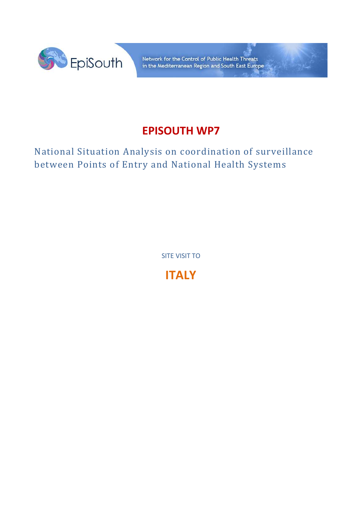

Network for the Control of Public Health Threats in the Mediterranean Region and South East Europe

# **EPISOUTH WP7**

National Situation Analysis on coordination of surveillance between Points of Entry and National Health Systems

SITE VISIT TO

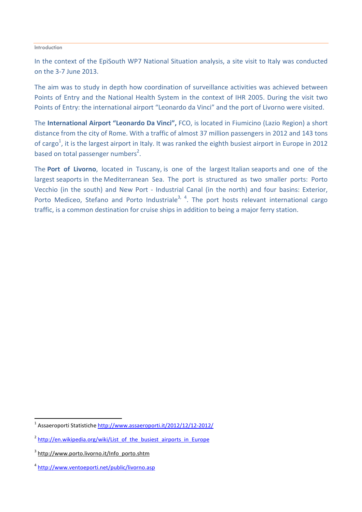#### Introduction

In the context of the EpiSouth WP7 National Situation analysis, a site visit to Italy was conducted on the 3-7 June 2013.

The aim was to study in depth how coordination of surveillance activities was achieved between Points of Entry and the National Health System in the context of IHR 2005. During the visit two Points of Entry: the international airport "Leonardo da Vinci" and the port of Livorno were visited.

The **International Airport "Leonardo Da Vinci",** FCO, is located in Fiumicino (Lazio Region) a short distance from the city of Rome. With a traffic of almost 37 million passengers in 2012 and 143 tons of cargo<sup>1</sup>, it is the largest airport in Italy. It was ranked the eighth busiest airport in Europe in 2012 based on total passenger numbers<sup>2</sup>.

The **Port of Livorno**, located in Tuscany, is one of the largest Italian seaports and one of the largest seaports in the Mediterranean Sea. The port is structured as two smaller ports: Porto Vecchio (in the south) and New Port - Industrial Canal (in the north) and four basins: Exterior, Porto Mediceo, Stefano and Porto Industriale<sup>3, 4</sup>. The port hosts relevant international cargo traffic, is a common destination for cruise ships in addition to being a major ferry station.

l

<sup>&</sup>lt;sup>1</sup> Assaeroporti Statistiche <u>http://www.assaeroporti.it/2012/12/12-2012/</u>

<sup>&</sup>lt;sup>2</sup> http://en.wikipedia.org/wiki/List\_of\_the\_busiest\_airports\_in\_Europe

<sup>&</sup>lt;sup>3</sup> http://www.porto.livorno.it/Info\_porto.shtm

<sup>4</sup> http://www.ventoeporti.net/public/livorno.asp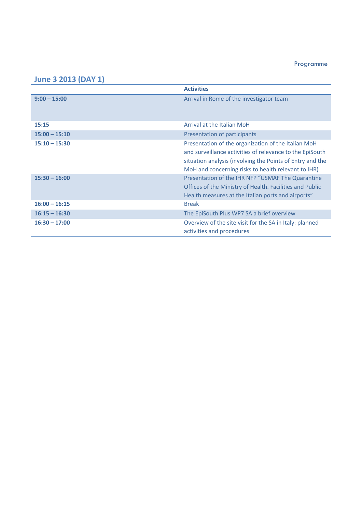#### Programme

#### **June 3 2013 (DAY 1)**

|                 | <b>Activities</b>                                                                                                                                                                                                                   |
|-----------------|-------------------------------------------------------------------------------------------------------------------------------------------------------------------------------------------------------------------------------------|
| $9:00 - 15:00$  | Arrival in Rome of the investigator team                                                                                                                                                                                            |
| 15:15           | Arrival at the Italian MoH                                                                                                                                                                                                          |
| $15:00 - 15:10$ | Presentation of participants                                                                                                                                                                                                        |
| $15:10 - 15:30$ | Presentation of the organization of the Italian MoH<br>and surveillance activities of relevance to the EpiSouth<br>situation analysis (involving the Points of Entry and the<br>MoH and concerning risks to health relevant to IHR) |
| $15:30 - 16:00$ | Presentation of the IHR NFP "USMAF The Quarantine<br>Offices of the Ministry of Health. Facilities and Public<br>Health measures at the Italian ports and airports"                                                                 |
| $16:00 - 16:15$ | <b>Break</b>                                                                                                                                                                                                                        |
| $16:15 - 16:30$ | The EpiSouth Plus WP7 SA a brief overview                                                                                                                                                                                           |
| $16:30 - 17:00$ | Overview of the site visit for the SA in Italy: planned<br>activities and procedures                                                                                                                                                |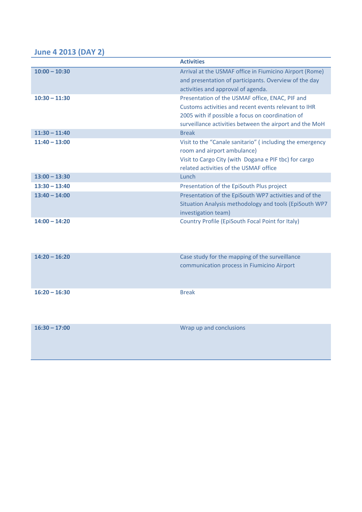### **June 4 2013 (DAY 2)**

|                 | <b>Activities</b>                                                                                                                                                                                                      |
|-----------------|------------------------------------------------------------------------------------------------------------------------------------------------------------------------------------------------------------------------|
| $10:00 - 10:30$ | Arrival at the USMAF office in Fiumicino Airport (Rome)<br>and presentation of participants. Overview of the day<br>activities and approval of agenda.                                                                 |
| $10:30 - 11:30$ | Presentation of the USMAF office, ENAC, PIF and<br>Customs activities and recent events relevant to IHR<br>2005 with if possible a focus on coordination of<br>surveillance activities between the airport and the MoH |
| $11:30 - 11:40$ | <b>Break</b>                                                                                                                                                                                                           |
| $11:40 - 13:00$ | Visit to the "Canale sanitario" (including the emergency<br>room and airport ambulance)<br>Visit to Cargo City (with Dogana e PIF tbc) for cargo<br>related activities of the USMAF office                             |
| $13:00 - 13:30$ | Lunch                                                                                                                                                                                                                  |
| $13:30 - 13:40$ | Presentation of the EpiSouth Plus project                                                                                                                                                                              |
| $13:40 - 14:00$ | Presentation of the EpiSouth WP7 activities and of the<br>Situation Analysis methodology and tools (EpiSouth WP7<br>investigation team)                                                                                |
| $14:00 - 14:20$ | Country Profile (EpiSouth Focal Point for Italy)                                                                                                                                                                       |
| $14:20 - 16:20$ | Case study for the mapping of the surveillance<br>communication process in Fiumicino Airport                                                                                                                           |

**16:20 – 16:30** Break

| $16:30 - 17:00$ | Wrap up and conclusions |
|-----------------|-------------------------|
|                 |                         |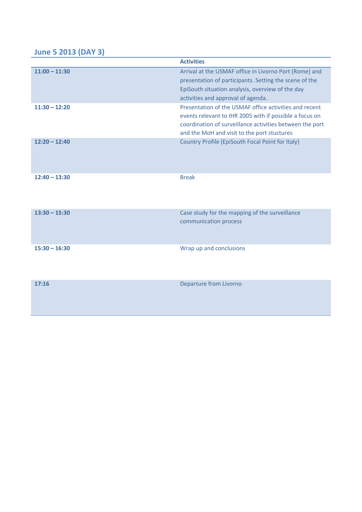# **June 5 2013 (DAY 3)**

| <b>June 5 2013 (DAY 3)</b> |                                                                                                                                                                                                                              |
|----------------------------|------------------------------------------------------------------------------------------------------------------------------------------------------------------------------------------------------------------------------|
|                            | <b>Activities</b>                                                                                                                                                                                                            |
| $11:00 - 11:30$            | Arrival at the USMAF office in Livorno Port (Rome) and<br>presentation of participants. Setting the scene of the<br>EpiSouth situation analysis, overview of the day<br>activities and approval of agenda.                   |
| $11:30 - 12:20$            | Presentation of the USMAF office activities and recent<br>events relevant to IHR 2005 with if possible a focus on<br>coordination of surveillance activities between the port<br>and the MoH and visit to the port stuctures |
| $12:20 - 12:40$            | Country Profile (EpiSouth Focal Point for Italy)                                                                                                                                                                             |
| $12:40 - 13:30$            | <b>Break</b>                                                                                                                                                                                                                 |
| $13:30 - 15:30$            | Case study for the mapping of the surveillance<br>communication process                                                                                                                                                      |
| $15:30 - 16:30$            | Wrap up and conclusions                                                                                                                                                                                                      |
| 17:16                      | <b>Departure from Livorno</b>                                                                                                                                                                                                |